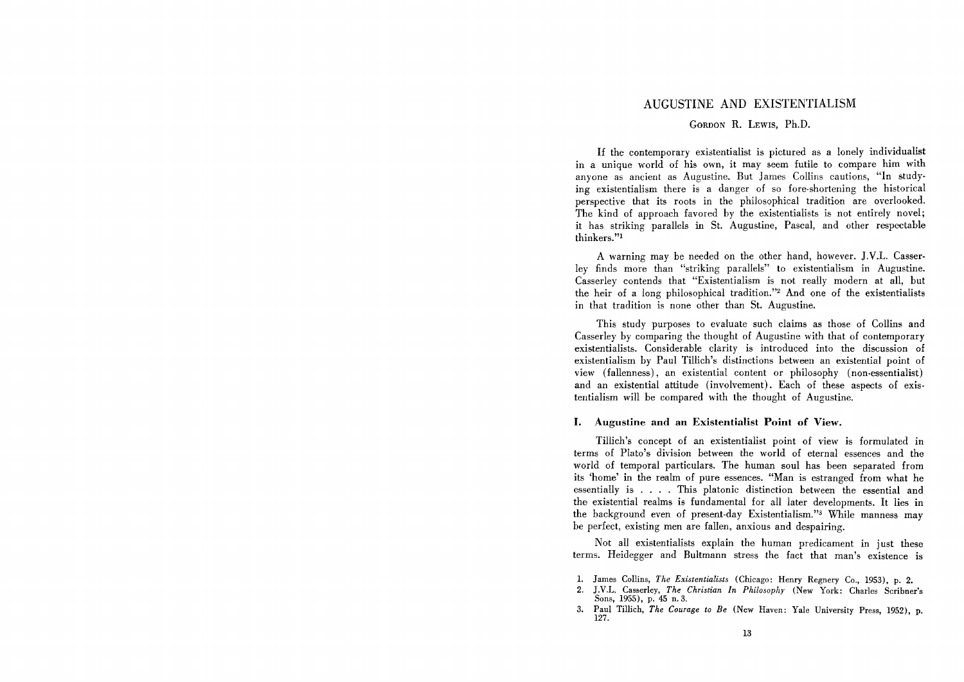## AUGUSTINE AND EXISTENTIALISM

## GORDON R. LEWIS, Ph.D.

If the contemporary existentialist is pictured as a lonely individualist in a unique world of his own, it may seem futile to compare him with anyone as ancient as Augustine. But James Collins cautions, "In studying existentialism there is a danger of so fore-shortening the historical perspective that its roots in the philosophical tradition are overlooked. The kind of approach favored by the existentialists is not entirely novel; it has striking parallels in St. Augustine, Pascal, and other respectable thinkers."!

A warning may be needed on the other hand, however. J.V.L. Casserley finds more than "striking parallels" to existentialism in Augustine. Casserley contends that "Existentialism is not really modern at all, but the heir of a long philosophical tradition."2 And one of the existentialists in that tradition is none other than St. Augustine.

This study purposes to evaluate such claims as those of Collins and Casserley by comparing the thought of Augustine with that of contemporary existentialists. Considerable clarity is introduced into the discussion of existentialism by Paul Tillich's distinctions between an existential point of view (fallenness), an existential content or philosophy (non-essentialist) and an existential attitude (involvement). Each of these aspects of existentialism will be compared with the thought of Augustine.

## I. Augustine and an Existentialist Point of View.

Tillich's concept of an existentialist point of view is formulated in terms of Plato's division between the world of eternal essences and the world of temporal particulars. The human soul has been separated from its 'home' in the realm of pure essences. "Man is estranged from what he essentially is . . . . This platonic distinction between the essential and the existential realms is fundamental for all later developments. It lies in the background even of present-day Existentialism."3 While manness may be perfect, existing men are fallen, anxious and despairing.

Not all existentialists explain the human predicament in just these terms. Heidegger and Bultmann stress the fact that man's existence is

- 2. J.V.L. Casserley, *The Christian In Philosophy* (New York: Charles Scribner's Sons, 1955), p. 45 n. 3.
- 3. Paul Tillich, *The Courage to Be* (New Haven: Yale University Press, 1952), p. 127.

<sup>1.</sup> James Collins, *The Existentialists* (Chicago: Henry Regnery Co., 1953), p. 2.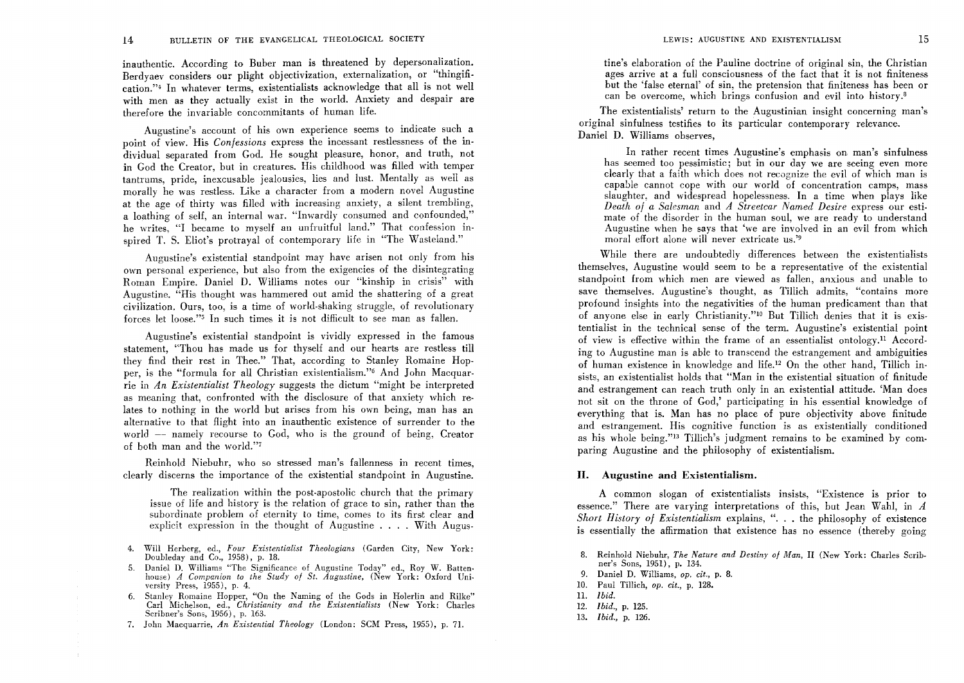inauthentic. According to Buber man is threatened by depersonalization. Berdyaev considers our plight objectivization, externalization, or "thingification.'" In whatever terms, existentialists acknowledge that all is not well with men as they actually exist in the world. Anxiety and despair are therefore the invariable concommitants of human life.

Augustine's account of his own experience seems to indicate such a point of view. His *Confessions* express the incessant restlessness of the individual separated from God. He sought pleasure, honor, and truth, not in God the Creator, but in creatures. His childhood was filled with temper tantrums, pride, inexcusable jealousies, lies and lust. Mentally as well as morally he was restless. Like a character from a modern novel Augustine at the age of thirty was filled with increasing anxiety, a silent trembling, a loathing of self, an internal war. "Inwardly consumed and confounded," he writes, "I became to myself an unfruitful land." That confession inspired T. S. Eliot's protrayal of contemporary life in "The Wasteland."

Augustine's existential standpoint may have arisen not only from his own personal experience, but also from the exigencies of the disintegrating Roman Empire. Daniel D. Williams notes our "kinship in crisis" with Augustine. "His thought was hammered out amid the shattering of a great civilization. Ours, too, is a time of world-shaking struggle, of revolutionary forces let loose."s In such times it is not difficult to see man as fallen.

Augustine's existential standpoint is vividly expressed in the famous statement, "Thou has made us for thyself and our hearts are restless till they find their rest in Thee." That, according to Stanley Romaine Hopper, is the "formula for all Christian existentialism."6 And John Macquarrie in *An Existentialist Theology* suggests the dictum "might be interpreted as meaning that, confronted with the disclosure of that anxiety which relates to nothing in the world but arises from his own being, man has an alternative to that flight into an inauthentic existence of surrender to the world - namely recourse to God, who is the ground of being, Creator of both man and the world."7

Reinhold Niebuhr, who so stressed man's fallenness in recent times, clearly discerns the importance of the existential standpoint in Augustine.

The realization within the post-apostolic church that the primary issue of life and history is the relation of grace to sin, rather than the subordinate problem of eternity to time, comes to its first clear and explicit expression in the thought of Augustine . . . . With Augus-

- 4. Will Herberg, ed., *Four Existentialist Theologians* (Garden City, New York: Doubleday and *Co.,* 1958), p. 18.
- 5. Daniel D. Williams "The Significance of Augustine Today" ed., Roy W. Batten· house) *A Companion to the Study of St. Augustine*, (New York: Oxford University Press, 1955), p. 4.
- 6. Stanley Romaine Hopper, "On the Naming of the Gods in Holerlin and Rilke" Carl Michelson, ed., *Christianity and the Existentialists* (New York: Charles Scribner's Sons, 1956), p. 163.
- 7. John Macquarrie, *An Existential Theology* (London: SCM Press, 1955), p. 71.

tine's elaboration of the Pauline doctrine of original sin, the Christian ages arrive at a full consciousness of the fact that it is not finiteness but the 'false eternal' of sin, the pretension that finiteness has been or can be overcome, which brings confusion and evil into history.<sup>8</sup>

The existentialists' return to the Augustinian insight concerning man's original sinfulness testifies to its particular contemporary relevance. Daniel D. Williams observes,

In rather recent times Augustine's emphasis on man's sinfulness has seemed too pessimistic; but in our day we are seeing even more clearly that a faith which does not recognize the evil of which man is capable cannot cope with our world of concentration camps, mass slaughter, and widespread hopelessness. In a time when plays like *Death of a Salesman* and *A Streetcar Named Desire* express our estimate of the disorder in the human soul, we are ready to understand Augustine when he says that 'we are involved in an evil from which moral effort alone will never extricate us.<sup>39</sup>

While there are undoubtedly differences between the existentialists themselves, Augustine would seem to be a representative of the existential standpoint from which men are viewed as fallen, anxious and unable to save themselves. Augustine's thought, as Tillich admits, "contains more profound insights into the negativities of the human predicament than that of anyone else in early Christianity."lo But Tillich denies that it is exis· tentialist in the technical sense of the term. Augustine's existential point of view is effective within the frame of an essentialist ontology,<sup>11</sup> According to Augustine man is able to transcend the estrangement and ambiguities of human existence in knowledge and life.<sup>12</sup> On the other hand, Tillich insists, an existentialist holds that "Man in the existential situation of finitude and estrangement can reach truth only in an existential attitude. 'Man does not sit on the throne of God,' participating in his essential knowledge of everything that is. Man has no place of pure objectivity above finitude and estrangement. His cognitive function is as existentially conditioned as his whole being."13 Tillich's judgment remains to be examined by comparing Augustine and the philosophy of existentialism.

## **II. Augustine and Existentialism.**

A common slogan of existentialists insists, "Existence is prior to essence." There are varying interpretations of this, but Jean Wahl, in *A*  Short History of Existentialism explains, ". . . the philosophy of existence is essentially the affirmation that existence has no essence (thereby going

- 9. Daniel D. Williams, *op. cit.,* p. 8.
- 10. Paul Tillich, *op. cit.,* p. 128.
- n. *Ibid.*
- *12. Ibid.,* p. 125.
- *13. Ibid.,* p. 126.

<sup>8.</sup> Reinhold Niebuhr, *The Nature and Destiny 0/ Man,* II (New York: Charles Scribner's Sons, 1951), p. 134.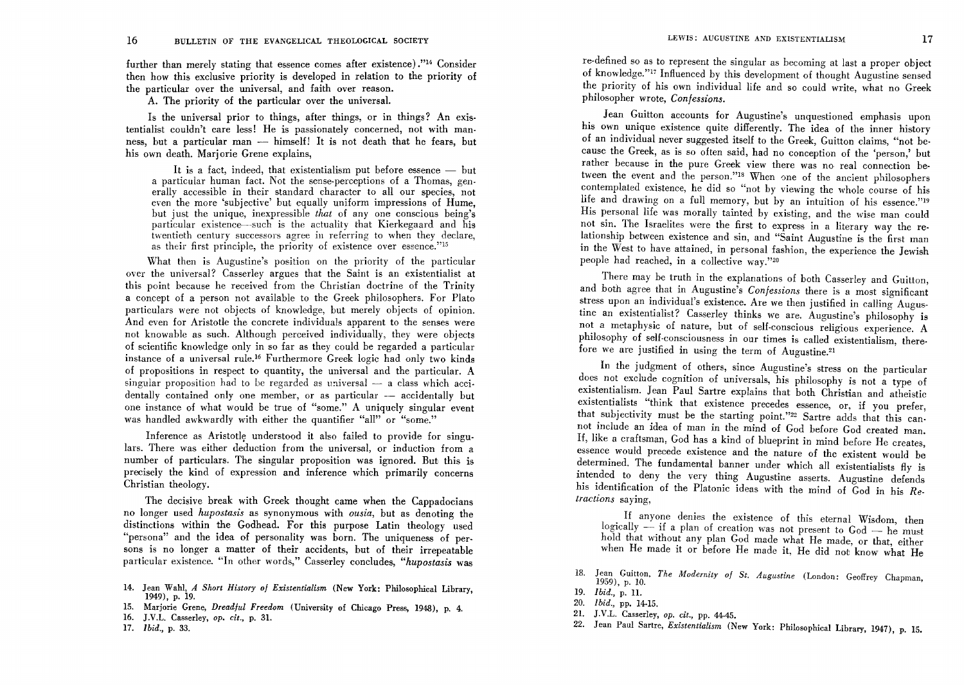further than merely stating that essence comes after existence) ."14 Consider then how this exclusive priority is developed in relation to the priority of the particular over the universal, and faith over reason.

A. The priority of the particular over the universal.

Is the universal prior to things, after things, or in things? An exis· tentialist couldn't care less! He is passionately concerned, not with man· ness, but a particular man - himself! It is not death that he fears, but his own death. Marjorie Grene explains,

It is a fact, indeed, that existentialism put before essence  $-$  but a particular human fact. Not the sense-perceptions of a Thomas, generally accessible in their standard character to all our species, not even the more 'subjective' but equally uniform impressions of Hume. but just the unique, inexpressible *that* of any one conscious being's particular existence—such is the actuality that Kierkegaard and his twentieth century successors agree in referring to when they declare. as their first principle, the priority of existence over essence."<sup>15</sup>

What then is Augustine's position on the priority of the particular over the universal? Casserley argues that the Saint is an existentialist at this point because he received from the Christian doctrine of the Trinity a concept of a person not available to the Greek philosophers. For Plato particulars were not objects of knowledge, but merely objects of opinion. And even for Aristotle the concrete individuals apparent to the senses were not knowable as such. Although perceived individually, they were objects of scientific knowledge only in so far as they could be regarded a particular instance of a universal rule.l6 Furthermore Greek logic had only two kinds of propositions in respect to quantity, the universal and the particular. A singular proposition had to be regarded as universal  $-$  a class which accidentally contained only one member, or as particular  $-$  accidentally but one instance of what would be true of "some." A uniquely singular event was handled awkwardly with either the quantifier "all" or "some."

Inference as Aristotle understood it also failed to provide for singulars. There was either deduction from the universal, or induction from a number of particulars. The singular proposition was ignored. But this is precisely the kind of expression and inference which primarily concerns Christian theology.

The decisive break with Greek thought came when the Cappadocians no longer used *hupostasis* as synonymous with *ousia,* but as denoting the distinctions within the Godhead. For this purpose Latin theology used "persona" and the idea of personality was born. The uniqueness of persons is no longer a matter of their accidents, but of their irrepeatable particular existence. "In other words," Casserley concludes, *"hupostasis* was

- 14. Jean Wahl, *A Short History of Existentialism* (New York: Philosophical Library, 1949), p. 19.
- 15. Marjorie Grene, *Dreadful Freedom* (University of Chicago Press, 1948), p. 4.
- 16. J .V.L. Casserley, op. *cit.,* p. 31.
- *17. Ibid.,* p. 33.

re-defined so as to represent the singular as becoming at last a proper object of knowledge."17 Influenced by this development of thought Augustine sensed the priority of his own individual life and so could write, what no Greek philosopher wrote, *Confessions.* 

Jean Guitton accounts for Augustine's unquestioned emphasis upon his own unique existence quite differently. The idea of the inner history of an individual never suggested itself to the Greek, Guitton claims, "not because the Greek, as is so often said, had no conception of the 'person,' but rather because in the pure Greek view there was no real connection between the event and the person."18 When one of the ancient philosophers contemplated existence, he did so "not by viewing the whole course of his life and drawing on a full memory, but by an intuition of his essence."19 His personal life was morally tainted by existing, and the wise man could not sin. The Israelites were the first to express in a literary way the relationship between existence and sin, and "Saint Augustine is the first man in the West to have attained, in personal fashion, the experience the Jewish people had reached, in a collective way."20

There may be truth in the explanations of both Casserley and Guitton, and both agree that in Augustine's *Confessions* there is a most significant stress upon an individual's existence. Are we then justified in calling Augustine an existentialist? Casserley thinks we are. Augustine's philosophy is not a metaphysic of nature, but of self-conscious religious experience. A philosophy of self-consciousness in our times is called existentialism, therefore we are justified in using the term of Augustine.21

In the judgment of others, since Augustine's stress on the particular does not exclude cognition of universals, his philosophy is not a type of existentialism. Jean Paul Sartre explains that both Christian and atheistic existentialists "think that existence precedes essence, or, if you prefer, that subjectivity must be the starting point."22 Sartre adds that this cannot include an idea of man in the mind of God before God created man. If, like a craftsman, God has a kind of blueprint in mind before He creates, essence would precede existence and the nature of the existent would be determined. The fundamental banner under which all existentialists fly is intended to deny the very thing Augustine asserts. Augustine defends his identification of the Platonic ideas with the mind of God in his *Retractions* saying,

If anyone denies the existence of this eternal Wisdom, then logically  $-$  if a plan of creation was not present to  $God - he$  must hold that without any plan God made what He made, or that, either when He made it or before He made it, He did not know what He

- 18. Jean Guitton, *The Modernity of St. Augustine* (London: Geoffrey Chapman, 1959), p. 10.
- *19. Ibid.,* p. H.
- *20. Ibid.,* pp. 14-15.
- 21. J.V.L. Casserley, op. *cit.,* pp. 44-45.
- 22. Jean Paul Sartre, *Existentialism* (New York: Philosophical Library, 1947), p. 15.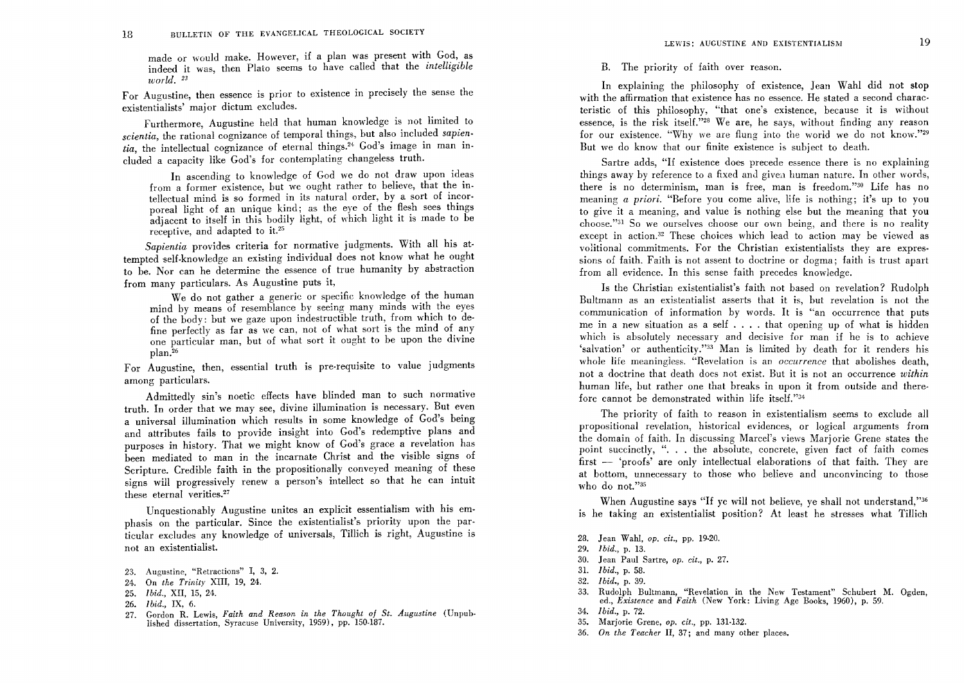made or would make. However, if a plan was present with God, as indeed it was, then Plato seems to have called that the *intelligible world. 23* 

For Augustine, then essence is prior to existence in precisely the sense the existentialists' major dictum excludes.

Furthermore, Augustine held that human knowledge is not limited to *scientia,* the rational cognizance of temporal things, but also included *sapien*tia, the intellectual cognizance of eternal things.<sup>24</sup> God's image in man included a capacity like God's for contemplating changeless truth.

In ascending to knowledge of God we do not draw upon ideas from a former existence, but we ought rather to believe, that the intellectual mind is so formed in its natural order, by a sort of incor· poreal light of an unique kind; as the eye of the flesh sees things adjacent to itself in this bodily light, of which light it is made to be receptive, and adapted to it.25

*Sapientia* provides criteria for normative judgments. With all his at· tempted self·knowledge an existing individual does not know what he ought to be. Nor can he determine the essence of true humanity by abstraction from many particulars. As Augustine puts it,

We do not gather a generic or specific knowledge of the human mind by means of resemblance by seeing many minds with the eyes of the body: but we gaze upon indestructible truth, from which to de· fine perfectly as far as we can, not of what sort is the mind of any one particular man, but of what sort it ought to be upon the divine plan.26

For Augustine, then, essential truth is pre.requisite to value judgments among particulars.

Admittedly sin's noetic effects have blinded man to such normative truth. In order that we may see, divine illumination is necessary. But even a universal illumination which results in some knowledge of God's being and attributes fails to provide insight into God's redemptive plans and purposes in history. That we might know of God's grace a revelation has been mediated to man in the incarnate Christ and the visible signs of Scripture. Credible faith in the propositionally conveyed meaning of these signs will progressively renew a person's intellect so that he can intuit these eternal verities.<sup>27</sup>

Unquestionably Augustine unites an explicit essentialism with his emphasis on the particular. Since the existentialist's priority upon the par· ticular excludes any knowledge of universals, Tillich is right, Augustine is not an existentialist.

- 23. Augustine, "Retractions" I, 3, 2.
- 24. On *the Trinity* XIII, 19, 24.
- *25. Ibid.,* XII, 15, 24.
- *26. Ibid.,* IX, 6.
- 27. Gordon R. Lewis, *Faith and Reason in the Thought of St. Augustine* (Unpub· lished dissertation, Syracuse University, 1959), pp. 150·187.

B. The priority of faith over reason.

. In explaining the philosophy of existence, Jean Wahl did not stop with the affirmation that existence has no essence. He stated a second characteristic of this philosophy, "that one's existence, because it is without essence, is the risk itself."<sup>28</sup> We are, he says, without finding any reason for our existence. "Why we are flung into the world we do not know."29 But we do know that our finite existence is subject to death.

Sartre adds, "If existence does precede essence there is no explaining things away by reference to a fixed and given human nature. In other words, there is no determinism, man is free, man is freedom."30 Life has no meaning *a priori.* "Before you come alive, life is nothing; it's up to you to give it a meaning, and value is nothing else but the meaning that you choose."<sup>31</sup> So we ourselves choose our own being, and there is no reality except in action.<sup>32</sup> These choices which lead to action may be viewed as volitional commitments. For the Christian existentialists they are expressions of faith. Faith is not assent to doctrine or dogma; faith is trust apart from all evidence. In this sense faith precedes knowledge.

Is the Christian existentialist's faith not based on revelation? Rudolph Bultmann as an existentialist asserts that it is, but revelation is not the communication of information by words. It is "an occurrence that puts me in a new situation as a self  $\dots$ . that opening up of what is hidden which is absolutely necessary and decisive for man if he is to achieve 'salvation' or authenticity."33 Man is limited by death for it renders his whole life meaningless. "Revelation is an *occurrence* that abolishes death, not a doctrine that death does not exist. But it is not an occurrence within human life, but rather one that breaks in upon it from outside and there· fore cannot be demonstrated within life itself."34

The priority of faith to reason in existentialism seems to exclude all propositional revelation, historical evidences, or logical arguments from the domain of faith. In discussing Marcel's views Marjorie Grene states the point succinctly, ". . . the absolute, concrete, given fact of faith comes  $first - 'proofs' are only intellectual elaborations of that faith. They are$ at bottom, unnecessary to those who believe and unconvincing to those who do not."35

When Augustine says "If ye will not believe, ye shall not understand,"36 is he taking an existentialist position? At least he stresses what Tillich

- 28. Jean Wahl, *op. cit.,* pp. 19-20.
- 29. *Ibid.*, p. 13.
- 30. Jean Paul Sartre, *op. cit.,* p. 27.
- 31. *Ibid.,* p. 58.
- *32. Ibid.,* p. 39.
- 33. Rudolph Bultmann, "Revelation in the New Testament" Schubert M. Ogden, ed., *Existence* and *Faith* (New York: Living Age Books, 1960), p. 59.
- *34. 1 bid.,* p. 72.
- 35. Marjorie Grene, *op. cit.,* pp. 131·132.
- *36. On the Teacher* II, 37; and many other places.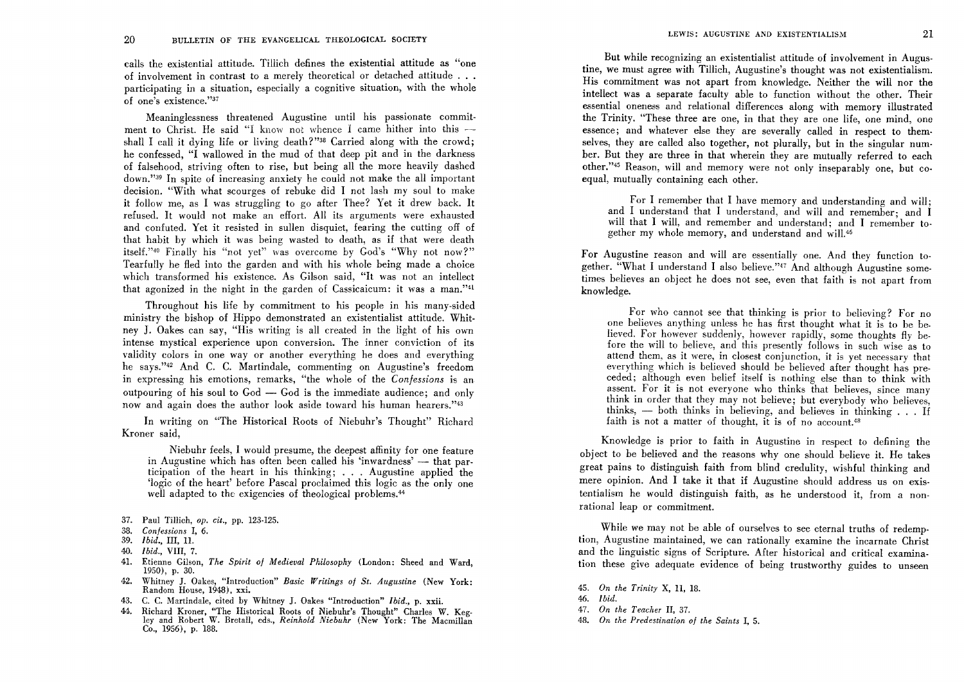calls the existential attitude. Tillich defines the existential attitude as "one of involvement in contrast to a merely theoretical or detached attitude  $\ldots$ participating in a situation, especially a cognitive situation, with the whole of one's existence."37

Meaninglessness threatened Augustine until his passionate commitment to Christ. He said "I know not whence I came hither into this  $$ shall I call it dying life or living death?"<sup>38</sup> Carried along with the crowd; he confessed, "I wallowed in the mud of that deep pit and in the darkness of falsehood, striving often to rise, but being all the more heavily dashed down."<sup>39</sup> In spite of increasing anxiety he could not make the all important decision. "With what scourges of rebuke did I not lash my soul to make it follow me, as I was struggling to go after Thee? Yet it drew back. It refused. It would not make an effort. All its arguments were exhausted and confuted. Yet it resisted in sullen disquiet, fearing the cutting off of that habit by which it was being wasted to death, as if that were death itself."<sup>40</sup> Finally his "not yet" was overcome by God's "Why not now?" Tearfully he fled into the garden and with his whole being made a choice which transformed his existence. As Gilson said, "It was not an intellect that agonized in the night in the garden of Cassicaicum: it was a man."41

Throughout his life by commitment to his people in his many·sided ministry the bishop of Hippo demonstrated an existentialist attitude. Whitney **J.** Oakes can say, "His writing is all created in the light of his own intense mystical experience upon conversion. The inner conviction of its validity colors in one way or another everything he does and everything he says."42 And C. C. Martindale, commenting on Augustine's freedom in expressing his emotions, remarks, "the whole of the *Confessions* is an outpouring of his soul to  $God - God$  is the immediate audience; and only now and again does the author look aside toward his human hearers."<sup>43</sup>

In writing on "The Historical Roots of Niebuhr's Thought" Richard Kroner said,

Niebuhr feels, I would presume, the deepest affinity for one feature in Augustine which has often been called his 'inwardness' - that participation of the heart in his thinking; . . . Augustine applied the 'logic of the heart' before Pascal proclaimed this logic as the only one well adapted to the exigencies of theological problems.<sup>44</sup>

- 37. Paul Tillich, *op. cit.,* pp. 123-125.
- *38. Confessions* I, 6.
- 39. *Ibid.*, III, 11.
- *40. I bid.,* VIII, 7.
- 41. Etienne Gilson, *The Spirit of Medieval Philosophy* (London: Sheed and Ward, 1950), p. 30.
- 42. Whitney J. Oakes, "Introduction" *Basic Writings of St. Augustine* (New York: Random House, 1948), xxi.
- 43. C. C. Martindale, cited by Whitney J. Oakes "Introduction" *Ibid.,* p. xxii.
- 44. Richard Kroner, "The Historical Roots of Niebuhr's Thought" Charles W. Kegley and Robert W. BretalI, eds., *Reinhold Niebuhr* (New York: The Macmillan Co., 1956), p. 188.

But while recognizing an existentialist attitude of involvement in Augustine, we must agree with Tillich, Augustine's thought was not existentialism. His commitment was not apart from knowledge. Neither the will nor the intellect was a separate faculty able to function without the other. Their essential oneness and relational differences along with memory illustrated the Trinity. "These three are one, in that they are one life, one mind, one essence; and whatever else they are severally called in respect to themselves, they are called also together, not plurally, but in the singular number. But they are three in that wherein they are mutually referred to each other."<sup>45</sup> Reason, will and memory were not only inseparably one, but coequal, mutually containing each other.

For I remember that I have memory and understanding and will; and I understand that I understand, and will and remember; and I will that I will, and remember and understand; and I remember together my whole memory, and understand and will.46

For Augustine reason and will are essentially one. And they function together. "What I understand I also believe."<sup>47</sup> And although Augustine sometimes believes an object he does not see, even that faith is not apart from knowledge.

For who cannot see that thinking is prior to believing? For no one believes anything unless he has first thought what it is to be believed. For however suddenly, however rapidly, some thoughts fly before the will to believe, and this presently follows in such wise as to attend them, as it were, in closest conjunction, it is yet necessary that everything which is believed should be believed after thought has preceded: although even belief itself is nothing else than to think with assent. For it is not everyone who thinks that believes, since many think in order that they may not believe; but everybody who believes, thinks,  $-$  both thinks in believing, and believes in thinking  $\ldots$  If faith is not a matter of thought, it is of no account.<sup>48</sup>

Knowledge is prior to faith in Augustine in respect to defining the object to be believed and the reasons why one should believe it. He takes great pains to distinguish faith from blind credulity, wishful thinking and mere opinion. And I take it that if Augustine should address us on existentialism he would distinguish faith, as he understood it, from a nonrational leap or commitment.

While we may not be able of ourselves to see eternal truths of redemption. Augustine maintained, we can rationally examine the incarnate Christ and the linguistic signs of Scripture. After historical and critical examination these give adequate evidence of being trustworthy guides to unseen

- *46. Ibid.*
- *47. On the Teacher* II, 37.
- *48. On the Predestination of the Saints* I, 5.

*<sup>45.</sup> On the Trinity* X, 11, 18.